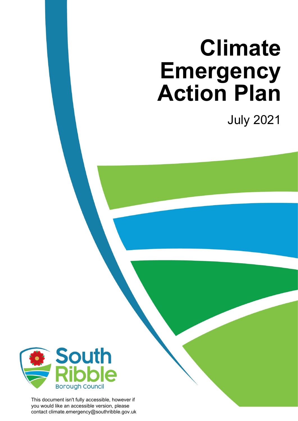# **Climate Emergency Action Plan**

July 2021



This document isn't fully accessible, however if you would like an accessible version, please contact climate.emergency@southribble.gov.uk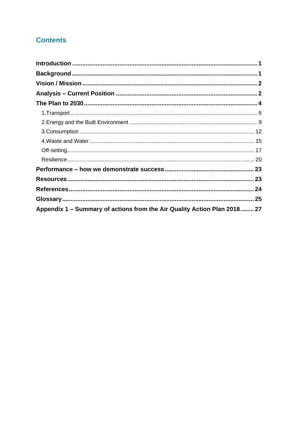# **Contents**

| Appendix 1 – Summary of actions from the Air Quality Action Plan 2018 27 |  |
|--------------------------------------------------------------------------|--|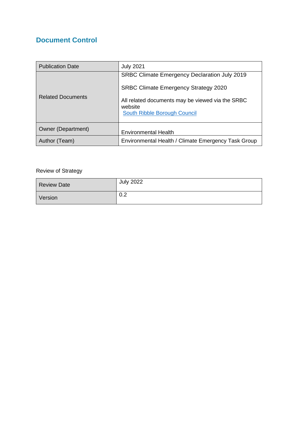## **Document Control**

| <b>Publication Date</b>  | <b>July 2021</b>                                            |
|--------------------------|-------------------------------------------------------------|
|                          | SRBC Climate Emergency Declaration July 2019                |
|                          | <b>SRBC Climate Emergency Strategy 2020</b>                 |
| <b>Related Documents</b> | All related documents may be viewed via the SRBC<br>website |
|                          | South Ribble Borough Council                                |
| Owner (Department)       | <b>Environmental Health</b>                                 |
| Author (Team)            | Environmental Health / Climate Emergency Task Group         |

## Review of Strategy

| <b>Review Date</b> | <b>July 2022</b> |
|--------------------|------------------|
| Version            | 0.2              |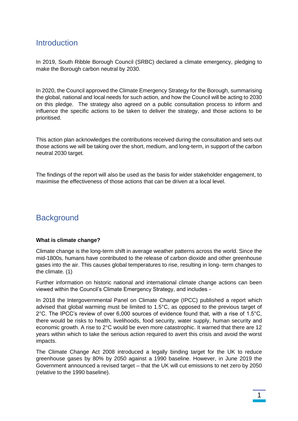## <span id="page-3-0"></span>**Introduction**

In 2019, South Ribble Borough Council (SRBC) declared a climate emergency, pledging to make the Borough carbon neutral by 2030.

In 2020, the Council approved the Climate Emergency Strategy for the Borough, summarising the global, national and local needs for such action, and how the Council will be acting to 2030 on this pledge. The strategy also agreed on a public consultation process to inform and influence the specific actions to be taken to deliver the strategy, and those actions to be prioritised.

This action plan acknowledges the contributions received during the consultation and sets out those actions we will be taking over the short, medium, and long-term, in support of the carbon neutral 2030 target.

The findings of the report will also be used as the basis for wider stakeholder engagement, to maximise the effectiveness of those actions that can be driven at a local level.

# <span id="page-3-1"></span>**Background**

#### **What is climate change?**

Climate change is the long-term shift in average weather patterns across the world. Since the mid-1800s, humans have contributed to the release of carbon dioxide and other greenhouse gases into the air. This causes global temperatures to rise, resulting in long- term changes to the climate. (1)

Further information on historic national and international climate change actions can been viewed within the Council's Climate Emergency Strategy, and includes -

In 2018 the Intergovernmental Panel on Climate Change (IPCC) published a report which advised that global warming must be limited to 1.5°C, as opposed to the previous target of 2°C. The IPCC's review of over 6,000 sources of evidence found that, with a rise of 1.5°C, there would be risks to health, livelihoods, food security, water supply, human security and economic growth. A rise to 2°C would be even more catastrophic. It warned that there are 12 years within which to take the serious action required to avert this crisis and avoid the worst impacts.

The Climate Change Act 2008 introduced a legally binding target for the UK to reduce greenhouse gases by 80% by 2050 against a 1990 baseline. However, in June 2019 the Government announced a revised target – that the UK will cut emissions to net zero by 2050 (relative to the 1990 baseline).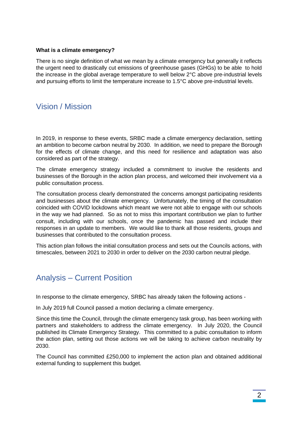#### **What is a climate emergency?**

There is no single definition of what we mean by a climate emergency but generally it reflects the urgent need to drastically cut emissions of greenhouse gases (GHGs) to be able to hold the increase in the global average temperature to well below 2°C above pre-industrial levels and pursuing efforts to limit the temperature increase to 1.5°C above pre-industrial levels.

## <span id="page-4-0"></span>Vision / Mission

In 2019, in response to these events, SRBC made a climate emergency declaration, setting an ambition to become carbon neutral by 2030. In addition, we need to prepare the Borough for the effects of climate change, and this need for resilience and adaptation was also considered as part of the strategy.

The climate emergency strategy included a commitment to involve the residents and businesses of the Borough in the action plan process, and welcomed their involvement via a public consultation process.

The consultation process clearly demonstrated the concerns amongst participating residents and businesses about the climate emergency. Unfortunately, the timing of the consultation coincided with COVID lockdowns which meant we were not able to engage with our schools in the way we had planned. So as not to miss this important contribution we plan to further consult, including with our schools, once the pandemic has passed and include their responses in an update to members. We would like to thank all those residents, groups and businesses that contributed to the consultation process.

This action plan follows the initial consultation process and sets out the Councils actions, with timescales, between 2021 to 2030 in order to deliver on the 2030 carbon neutral pledge.

# <span id="page-4-1"></span>Analysis – Current Position

In response to the climate emergency, SRBC has already taken the following actions -

In July 2019 full Council passed a motion declaring a climate emergency.

Since this time the Council, through the climate emergency task group, has been working with partners and stakeholders to address the climate emergency. In July 2020, the Council published its Climate Emergency Strategy. This committed to a pubic consultation to inform the action plan, setting out those actions we will be taking to achieve carbon neutrality by 2030.

The Council has committed £250,000 to implement the action plan and obtained additional external funding to supplement this budget.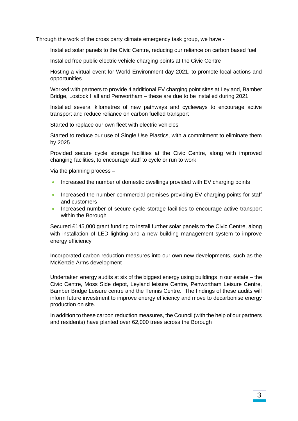Through the work of the cross party climate emergency task group, we have -

Installed solar panels to the Civic Centre, reducing our reliance on carbon based fuel

Installed free public electric vehicle charging points at the Civic Centre

Hosting a virtual event for World Environment day 2021, to promote local actions and opportunities

Worked with partners to provide 4 additional EV charging point sites at Leyland, Bamber Bridge, Lostock Hall and Penwortham – these are due to be installed during 2021

Installed several kilometres of new pathways and cycleways to encourage active transport and reduce reliance on carbon fuelled transport

Started to replace our own fleet with electric vehicles

Started to reduce our use of Single Use Plastics, with a commitment to eliminate them by 2025

Provided secure cycle storage facilities at the Civic Centre, along with improved changing facilities, to encourage staff to cycle or run to work

Via the planning process –

- Increased the number of domestic dwellings provided with EV charging points
- Increased the number commercial premises providing EV charging points for staff and customers
- Increased number of secure cycle storage facilities to encourage active transport within the Borough

Secured £145,000 grant funding to install further solar panels to the Civic Centre, along with installation of LED lighting and a new building management system to improve energy efficiency

Incorporated carbon reduction measures into our own new developments, such as the McKenzie Arms development

Undertaken energy audits at six of the biggest energy using buildings in our estate – the Civic Centre, Moss Side depot, Leyland leisure Centre, Penwortham Leisure Centre, Bamber Bridge Leisure centre and the Tennis Centre. The findings of these audits will inform future investment to improve energy efficiency and move to decarbonise energy production on site.

In addition to these carbon reduction measures, the Council (with the help of our partners and residents) have planted over 62,000 trees across the Borough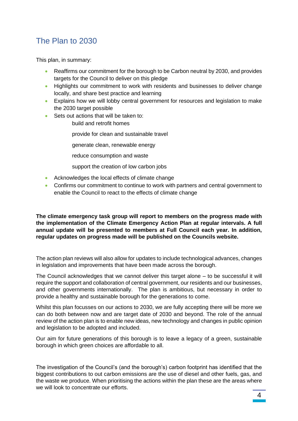# <span id="page-6-0"></span>The Plan to 2030

This plan, in summary:

- Reaffirms our commitment for the borough to be Carbon neutral by 2030, and provides targets for the Council to deliver on this pledge
- Highlights our commitment to work with residents and businesses to deliver change locally, and share best practice and learning
- Explains how we will lobby central government for resources and legislation to make the 2030 target possible
- Sets out actions that will be taken to:
	- build and retrofit homes

provide for clean and sustainable travel

generate clean, renewable energy

reduce consumption and waste

support the creation of low carbon jobs

- Acknowledges the local effects of climate change
- Confirms our commitment to continue to work with partners and central government to enable the Council to react to the effects of climate change

**The climate emergency task group will report to members on the progress made with the implementation of the Climate Emergency Action Plan at regular intervals. A full annual update will be presented to members at Full Council each year. In addition, regular updates on progress made will be published on the Councils website.** 

The action plan reviews will also allow for updates to include technological advances, changes in legislation and improvements that have been made across the borough.

The Council acknowledges that we cannot deliver this target alone – to be successful it will require the support and collaboration of central government, our residents and our businesses, and other governments internationally. The plan is ambitious, but necessary in order to provide a healthy and sustainable borough for the generations to come.

Whilst this plan focusses on our actions to 2030, we are fully accepting there will be more we can do both between now and are target date of 2030 and beyond. The role of the annual review of the action plan is to enable new ideas, new technology and changes in public opinion and legislation to be adopted and included.

Our aim for future generations of this borough is to leave a legacy of a green, sustainable borough in which green choices are affordable to all.

The investigation of the Council's (and the borough's) carbon footprint has identified that the biggest contributions to out carbon emissions are the use of diesel and other fuels, gas, and the waste we produce. When prioritising the actions within the plan these are the areas where we will look to concentrate our efforts.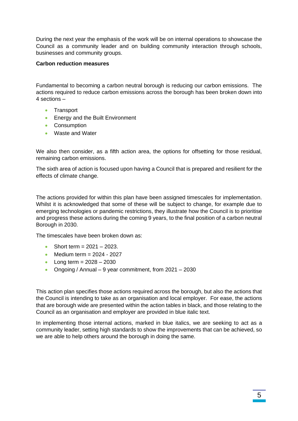During the next year the emphasis of the work will be on internal operations to showcase the Council as a community leader and on building community interaction through schools, businesses and community groups.

#### **Carbon reduction measures**

Fundamental to becoming a carbon neutral borough is reducing our carbon emissions. The actions required to reduce carbon emissions across the borough has been broken down into 4 sections –

- Transport
- Energy and the Built Environment
- Consumption
- Waste and Water

We also then consider, as a fifth action area, the options for offsetting for those residual, remaining carbon emissions.

The sixth area of action is focused upon having a Council that is prepared and resilient for the effects of climate change.

The actions provided for within this plan have been assigned timescales for implementation. Whilst it is acknowledged that some of these will be subject to change, for example due to emerging technologies or pandemic restrictions, they illustrate how the Council is to prioritise and progress these actions during the coming 9 years, to the final position of a carbon neutral Borough in 2030.

The timescales have been broken down as:

- Short term =  $2021 2023$ .
- Medium term  $= 2024 2027$
- Long term =  $2028 2030$
- Ongoing / Annual 9 year commitment, from 2021 2030

This action plan specifies those actions required across the borough, but also the actions that the Council is intending to take as an organisation and local employer. For ease, the actions that are borough wide are presented within the action tables in black, and those relating to the Council as an organisation and employer are provided in blue italic text.

In implementing those internal actions, marked in blue italics, we are seeking to act as a community leader, setting high standards to show the improvements that can be achieved, so we are able to help others around the borough in doing the same.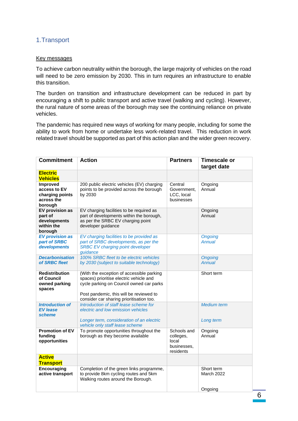## <span id="page-8-0"></span>1.Transport

#### Key messages

To achieve carbon neutrality within the borough, the large majority of vehicles on the road will need to be zero emission by 2030. This in turn requires an infrastructure to enable this transition.

The burden on transition and infrastructure development can be reduced in part by encouraging a shift to public transport and active travel (walking and cycling). However, the rural nature of some areas of the borough may see the continuing reliance on private vehicles.

The pandemic has required new ways of working for many people, including for some the ability to work from home or undertake less work-related travel. This reduction in work related travel should be supported as part of this action plan and the wider green recovery.

| <b>Commitment</b>                                                    | <b>Action</b>                                                                                                                                                                                                           | <b>Partners</b>                                               | <b>Timescale or</b><br>target date |
|----------------------------------------------------------------------|-------------------------------------------------------------------------------------------------------------------------------------------------------------------------------------------------------------------------|---------------------------------------------------------------|------------------------------------|
| <b>Electric</b><br><b>Vehicles</b>                                   |                                                                                                                                                                                                                         |                                                               |                                    |
| Improved<br>access to EV<br>charging points<br>across the<br>borough | 200 public electric vehicles (EV) charging<br>points to be provided across the borough<br>by 2030                                                                                                                       | Central<br>Government,<br>LCC, local<br>businesses            | Ongoing<br>Annual                  |
| EV provision as<br>part of<br>developments<br>within the<br>borough  | EV charging facilities to be required as<br>part of developments within the borough,<br>as per the SRBC EV charging point<br>developer guidance                                                                         |                                                               | Ongoing<br>Annual                  |
| <b>EV provision as</b><br>part of SRBC<br>developments               | EV charging facilities to be provided as<br>part of SRBC developments, as per the<br><b>SRBC EV charging point developer</b><br>quidance                                                                                |                                                               | <b>Ongoing</b><br>Annual           |
| <b>Decarbonisation</b><br>of SRBC fleet                              | 100% SRBC fleet to be electric vehicles<br>by 2030 (subject to suitable technology)                                                                                                                                     |                                                               | <b>Ongoing</b><br><b>Annual</b>    |
| <b>Redistribution</b><br>of Council<br>owned parking<br>spaces       | (With the exception of accessible parking<br>spaces) prioritise electric vehicle and<br>cycle parking on Council owned car parks<br>Post pandemic, this will be reviewed to<br>consider car sharing prioritisation too. |                                                               | Short term                         |
| <b>Introduction of</b><br><b>EV lease</b><br>scheme                  | Introduction of staff lease scheme for<br>electric and low emission vehicles<br>Longer term, consideration of an electric<br>vehicle only staff lease scheme                                                            |                                                               | <b>Medium</b> term<br>Long term    |
| <b>Promotion of EV</b><br>funding<br>opportunities                   | To promote opportunities throughout the<br>borough as they become available                                                                                                                                             | Schools and<br>colleges,<br>local<br>businesses,<br>residents | Ongoing<br>Annual                  |
| <b>Active</b><br><b>Transport</b>                                    |                                                                                                                                                                                                                         |                                                               |                                    |
| Encouraging<br>active transport                                      | Completion of the green links programme,<br>to provide 8km cycling routes and 5km<br>Walking routes around the Borough.                                                                                                 |                                                               | Short term<br><b>March 2022</b>    |
|                                                                      |                                                                                                                                                                                                                         |                                                               | Ongoing                            |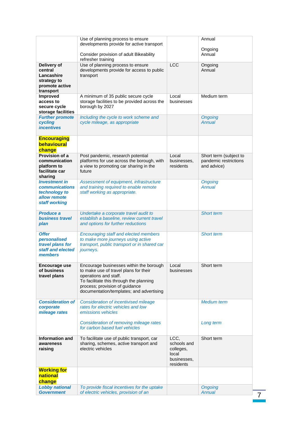|                                                                                                 | Use of planning process to ensure<br>developments provide for active transport                                                                                                                                                     |                                                                       | Annual                                                         |
|-------------------------------------------------------------------------------------------------|------------------------------------------------------------------------------------------------------------------------------------------------------------------------------------------------------------------------------------|-----------------------------------------------------------------------|----------------------------------------------------------------|
|                                                                                                 | Consider provision of adult Bikeability                                                                                                                                                                                            |                                                                       | Ongoing<br>Annual                                              |
|                                                                                                 | refresher training                                                                                                                                                                                                                 |                                                                       |                                                                |
| Delivery of<br>central<br>Lancashire<br>strategy to<br>promote active<br>transport              | Use of planning process to ensure<br>developments provide for access to public<br>transport                                                                                                                                        | <b>LCC</b>                                                            | Ongoing<br>Annual                                              |
| <b>Improved</b><br>access to<br>secure cycle<br>storage facilities                              | A minimum of 35 public secure cycle<br>storage facilities to be provided across the<br>borough by 2027                                                                                                                             | Local<br>businesses                                                   | Medium term                                                    |
| <b>Further promote</b><br>cycling<br><i><b>incentives</b></i>                                   | Including the cycle to work scheme and<br>cycle mileage, as appropriate                                                                                                                                                            |                                                                       | <b>Ongoing</b><br><b>Annual</b>                                |
| <b>Encouraging</b><br>behavioural<br>change                                                     |                                                                                                                                                                                                                                    |                                                                       |                                                                |
| Provision of a<br>communication<br>platform to<br>facilitate car<br>sharing                     | Post pandemic, research potential<br>platforms for use across the borough, with<br>a view to promoting car sharing in the<br>future                                                                                                | Local<br>businesses,<br>residents                                     | Short term (subject to<br>pandemic restrictions<br>and advice) |
| <b>Investment in</b><br><b>communications</b><br>technology to<br>allow remote<br>staff working | Assessment of equipment, infrastructure<br>and training required to enable remote<br>staff working as appropriate.                                                                                                                 |                                                                       | <b>Ongoing</b><br><b>Annual</b>                                |
| <b>Produce a</b><br><b>business travel</b><br>plan                                              | Undertake a corporate travel audit to<br>establish a baseline, review current travel<br>and options for further reductions                                                                                                         |                                                                       | <b>Short term</b>                                              |
| <b>Offer</b><br>personalised<br>travel plans for<br>staff and elected<br>members                | <b>Encouraging staff and elected members</b><br>to make more journeys using active<br>transport, public transport or in shared car<br>journeys.                                                                                    |                                                                       | Short term                                                     |
| Encourage use<br>of business<br>travel plans                                                    | Encourage businesses within the borough<br>to make use of travel plans for their<br>operations and staff.<br>To facilitate this through the planning<br>process; provision of guidance<br>documentation/templates; and advertising | Local<br>businesses                                                   | Short term                                                     |
| <b>Consideration of</b><br>corporate<br>mileage rates                                           | <b>Consideration of incentivised mileage</b><br>rates for electric vehicles and low<br>emissions vehicles                                                                                                                          |                                                                       | <b>Medium</b> term                                             |
|                                                                                                 | Consideration of removing mileage rates<br>for carbon based fuel vehicles                                                                                                                                                          |                                                                       | Long term                                                      |
| <b>Information and</b><br>awareness<br>raising                                                  | To facilitate use of public transport, car<br>sharing, schemes, active transport and<br>electric vehicles                                                                                                                          | LCC,<br>schools and<br>colleges,<br>local<br>businesses,<br>residents | Short term                                                     |
| <b>Working for</b><br>national<br>change                                                        |                                                                                                                                                                                                                                    |                                                                       |                                                                |
| <b>Lobby national</b><br><b>Government</b>                                                      | To provide fiscal incentives for the uptake<br>of electric vehicles, provision of an                                                                                                                                               |                                                                       | <b>Ongoing</b><br><b>Annual</b>                                |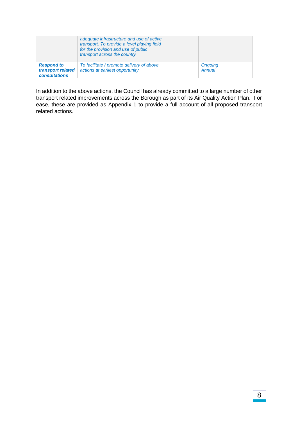|                                                                | adequate infrastructure and use of active<br>transport. To provide a level playing field<br>for the provision and use of public<br>transport across the country |                   |
|----------------------------------------------------------------|-----------------------------------------------------------------------------------------------------------------------------------------------------------------|-------------------|
| <b>Respond to</b><br>transport related<br><b>consultations</b> | To facilitate / promote delivery of above<br>actions at earliest opportunity                                                                                    | Ongoing<br>Annual |

In addition to the above actions, the Council has already committed to a large number of other transport related improvements across the Borough as part of its Air Quality Action Plan. For ease, these are provided as Appendix 1 to provide a full account of all proposed transport related actions.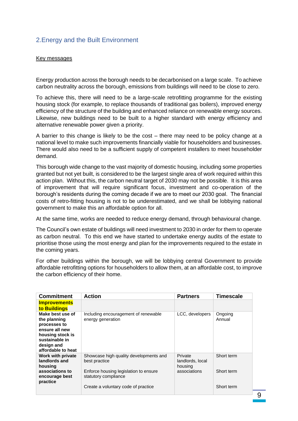## <span id="page-11-0"></span>2.Energy and the Built Environment

#### Key messages

Energy production across the borough needs to be decarbonised on a large scale. To achieve carbon neutrality across the borough, emissions from buildings will need to be close to zero.

To achieve this, there will need to be a large-scale retrofitting programme for the existing housing stock (for example, to replace thousands of traditional gas boilers), improved energy efficiency of the structure of the building and enhanced reliance on renewable energy sources. Likewise, new buildings need to be built to a higher standard with energy efficiency and alternative renewable power given a priority.

A barrier to this change is likely to be the cost – there may need to be policy change at a national level to make such improvements financially viable for householders and businesses. There would also need to be a sufficient supply of competent installers to meet householder demand.

This borough wide change to the vast majority of domestic housing, including some properties granted but not yet built, is considered to be the largest single area of work required within this action plan. Without this, the carbon neutral target of 2030 may not be possible. It is this area of improvement that will require significant focus, investment and co-operation of the borough's residents during the coming decade if we are to meet our 2030 goal. The financial costs of retro-fitting housing is not to be underestimated, and we shall be lobbying national government to make this an affordable option for all.

At the same time, works are needed to reduce energy demand, through behavioural change.

The Council's own estate of buildings will need investment to 2030 in order for them to operate as carbon neutral. To this end we have started to undertake energy audits of the estate to prioritise those using the most energy and plan for the improvements required to the estate in the coming years.

For other buildings within the borough, we will be lobbying central Government to provide affordable retrofitting options for householders to allow them, at an affordable cost, to improve the carbon efficiency of their home.

| <b>Commitment</b>                                                                                                                            | <b>Action</b>                                                 | <b>Partners</b>                        | <b>Timescale</b>  |
|----------------------------------------------------------------------------------------------------------------------------------------------|---------------------------------------------------------------|----------------------------------------|-------------------|
| <b>Improvements</b><br>to Buildings                                                                                                          |                                                               |                                        |                   |
| Make best use of<br>the planning<br>processes to<br>ensure all new<br>housing stock is<br>sustainable in<br>design and<br>affordable to heat | Including encouragement of renewable<br>energy generation     | LCC, developers                        | Ongoing<br>Annual |
| Work with private<br>landlords and<br>housing                                                                                                | Showcase high quality developments and<br>best practice       | Private<br>landlords, local<br>housing | Short term        |
| associations to<br>encourage best<br>practice                                                                                                | Enforce housing legislation to ensure<br>statutory compliance | associations                           | Short term        |
|                                                                                                                                              | Create a voluntary code of practice                           |                                        | Short term        |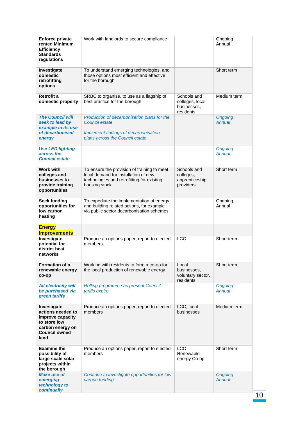| <b>Enforce private</b><br>rented Minimum<br><b>Efficiency</b><br><b>Standards</b><br>regulations                         | Work with landlords to secure compliance                                                                                                           |                                                            | Ongoing<br>Annual               |
|--------------------------------------------------------------------------------------------------------------------------|----------------------------------------------------------------------------------------------------------------------------------------------------|------------------------------------------------------------|---------------------------------|
| Investigate<br>domestic<br>retrofitting<br>options                                                                       | To understand emerging technologies, and<br>those options most efficient and effective<br>for the borough                                          |                                                            | Short term                      |
| Retrofit a<br>domestic property                                                                                          | SRBC to organise, to use as a flagship of<br>best practice for the borough                                                                         | Schools and<br>colleges, local<br>businesses,<br>residents | Medium term                     |
| <b>The Council will</b><br>seek to lead by<br>example in its use<br>of decarbonised<br>energy                            | Production of decarbonisation plans for the<br><b>Council estate</b><br>Implement findings of decarbonisation<br>plans across the Council estate   |                                                            | <b>Ongoing</b><br><b>Annual</b> |
| <b>Use LED lighting</b><br>across the<br><b>Council estate</b>                                                           |                                                                                                                                                    |                                                            | <b>Ongoing</b><br>Annual        |
| <b>Work with</b><br>colleges and<br>businesses to<br>provide training<br>opportunities                                   | To ensure the provision of training to meet<br>local demand for installation of new<br>technologies and retrofitting for existing<br>housing stock | Schools and<br>colleges,<br>apprenticeship<br>providers    | Short term                      |
| <b>Seek funding</b><br>opportunities for<br>low carbon<br>heating                                                        | To expediate the implementation of energy<br>and building related actions, for example<br>via public sector decarbonisation schemes                |                                                            | Ongoing<br>Annual               |
| <b>Energy</b><br><b>Improvements</b>                                                                                     |                                                                                                                                                    |                                                            |                                 |
| Investigate<br>potential for<br>district heat<br>networks                                                                | Produce an options paper, report to elected<br>members.                                                                                            | <b>LCC</b>                                                 | Short term                      |
| Formation of a<br>renewable energy<br>co-op                                                                              | Working with residents to form a co-op for<br>the local production of renewable energy                                                             | Local<br>businesses,<br>voluntary sector,<br>residents     | Short term                      |
| <b>All electricity will</b><br>be purchased via<br>green tariffs                                                         | Rolling programme as present Council<br>tariffs expire                                                                                             |                                                            | <b>Ongoing</b><br>Annual        |
| Investigate<br>actions needed to<br>improve capacity<br>to store low<br>carbon energy on<br><b>Council owned</b><br>land | Produce an options paper, report to elected<br>members                                                                                             | LCC, local<br>businesses                                   | Medium term                     |
| <b>Examine the</b><br>possibility of<br>large-scale solar<br>projects within<br>the borough                              | Produce an options paper, report to elected<br>members                                                                                             | <b>LCC</b><br>Renewable<br>energy Co-op                    | Short term                      |
| <b>Make use of</b><br>emerging<br>technology to<br>continually                                                           | Continue to investigate opportunities for low<br>carbon funding                                                                                    |                                                            | <b>Ongoing</b><br>Annual        |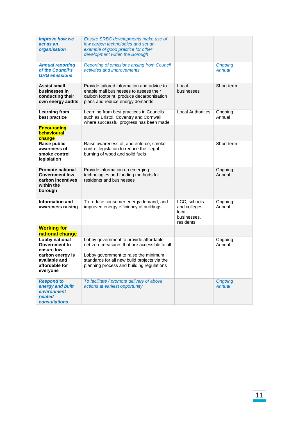| improve how we<br>act as an<br>organisation                                                    | Ensure SRBC developments make use of<br>low carbon technologies and set an<br>example of good practice for other<br>development within the Borough                   |                                                                    |                          |
|------------------------------------------------------------------------------------------------|----------------------------------------------------------------------------------------------------------------------------------------------------------------------|--------------------------------------------------------------------|--------------------------|
| <b>Annual reporting</b><br>of the Council's<br><b>GHG emissions</b>                            | Reporting of emissions arising from Council<br>activities and improvements                                                                                           |                                                                    | <b>Ongoing</b><br>Annual |
| Assist small<br>businesses in<br>conducting their<br>own energy audits                         | Provide tailored information and advice to<br>enable mall businesses to assess their<br>carbon footprint, produce decarbonisation<br>plans and reduce energy demands | Local<br>businesses                                                | Short term               |
| <b>Learning from</b><br>best practice                                                          | Learning from best practices in Councils<br>such as Bristol, Coventry and Cornwall<br>where successful progress has been made                                        | <b>Local Authorities</b>                                           | Ongoing<br>Annual        |
| <b>Encouraging</b><br>behavioural<br>change                                                    |                                                                                                                                                                      |                                                                    |                          |
| Raise public<br>awareness of<br>smoke control<br>legislation                                   | Raise awareness of, and enforce, smoke<br>control legislation to reduce the illegal<br>burning of wood and solid fuels                                               |                                                                    | Short term               |
| <b>Promote national</b><br><b>Government low</b><br>carbon incentives<br>within the<br>borough | Provide information on emerging<br>technologies and funding methods for<br>residents and businesses                                                                  |                                                                    | Ongoing<br>Annual        |
| <b>Information and</b><br>awareness raising                                                    | To reduce consumer energy demand, and<br>improved energy efficiency of buildings                                                                                     | LCC, schools<br>and colleges,<br>local<br>businesses.<br>residents | Ongoing<br>Annual        |
| <b>Working for</b><br>national change                                                          |                                                                                                                                                                      |                                                                    |                          |
| Lobby national<br>Government to<br>ensure low                                                  | Lobby government to provide affordable<br>net-zero measures that are accessible to all                                                                               |                                                                    | Ongoing<br>Annual        |
| carbon energy is<br>available and<br>affordable for<br>everyone                                | Lobby government to raise the minimum<br>standards for all new build projects via the<br>planning process and building regulations                                   |                                                                    |                          |
| <b>Respond to</b><br>energy and built<br>environment<br>related<br><b>consultations</b>        | To facilitate / promote delivery of above<br>actions at earliest opportunity                                                                                         |                                                                    | <b>Ongoing</b><br>Annual |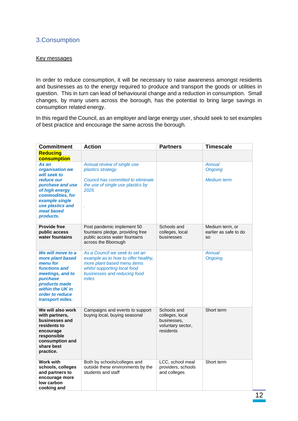## <span id="page-14-0"></span>3.Consumption

#### Key messages

In order to reduce consumption, it will be necessary to raise awareness amongst residents and businesses as to the energy required to produce and transport the goods or utilities in question. This in turn can lead of behavioural change and a reduction in consumption. Small changes, by many users across the borough, has the potential to bring large savings in consumption related energy.

In this regard the Council, as an employer and large energy user, should seek to set examples of best practice and encourage the same across the borough.

| <b>Commitment</b>                                                                                                                                                                 | <b>Action</b>                                                                                                                                                                 | <b>Partners</b>                                                                 | <b>Timescale</b>                                      |
|-----------------------------------------------------------------------------------------------------------------------------------------------------------------------------------|-------------------------------------------------------------------------------------------------------------------------------------------------------------------------------|---------------------------------------------------------------------------------|-------------------------------------------------------|
| <b>Reducing</b><br>consumption                                                                                                                                                    |                                                                                                                                                                               |                                                                                 |                                                       |
| As an<br>organisation we<br>will seek to<br>reduce our<br>purchase and use<br>of high energy<br>commodities, for<br>example single<br>use plastics and<br>meat based<br>products. | Annual review of single use<br>plastics strategy.<br>Council has committed to eliminate<br>the use of single use plastics by<br>2025<br>ä,                                    |                                                                                 | Annual<br><b>Ongoing</b><br><b>Medium</b> term        |
| <b>Provide free</b><br>public access<br>water fountains                                                                                                                           | Post pandemic implement 50<br>fountains pledge, providing free<br>public access water fountains<br>across the Bborough                                                        | Schools and<br>colleges, local<br>businesses                                    | Medium term, or<br>earlier as safe to do<br><b>SO</b> |
| We will move to a<br>more plant based<br>menu for<br>functions and<br>meetings, and to<br>purchase<br>products made<br>within the UK in<br>order to reduce<br>transport miles.    | As a Council we seek to set an<br>example as to how to offer healthy,<br>more plant based menu items<br>whilst supporting local food<br>businesses and reducing food<br>miles |                                                                                 | <b>Annual</b><br><b>Ongoing</b>                       |
| We will also work<br>with partners,<br>businesses and<br>residents to<br>encourage<br>responsible<br>consumption and<br>share best<br>practice.                                   | Campaigns and events to support<br>buying local, buying seasonal                                                                                                              | Schools and<br>colleges, local<br>businesses.<br>voluntary sector,<br>residents | Short term                                            |
| <b>Work with</b><br>schools, colleges<br>and partners to<br>encourage more<br>low carbon<br>cooking and                                                                           | Both by schools/colleges and<br>outside these environments by the<br>students and staff                                                                                       | LCC, school meal<br>providers, schools<br>and colleges                          | Short term                                            |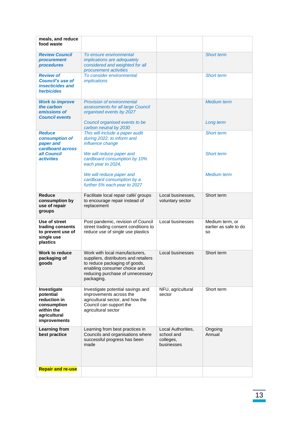| meals, and reduce<br>food waste                                                                              |                                                                                                                                                    |                                                             |                                                       |
|--------------------------------------------------------------------------------------------------------------|----------------------------------------------------------------------------------------------------------------------------------------------------|-------------------------------------------------------------|-------------------------------------------------------|
| <b>Review Council</b><br>procurement<br>procedures                                                           | To ensure environmental<br>implications are adequately<br>considered and weighted for all<br>procurement activities                                |                                                             | <b>Short term</b>                                     |
| <b>Review of</b><br><b>Council's use of</b><br>insecticides and<br>herbicides                                | To consider environmental<br><i>implications</i>                                                                                                   |                                                             | <b>Short term</b>                                     |
| <b>Work to improve</b><br>the carbon<br>emissions of<br><b>Council events</b>                                | <b>Provision of environmental</b><br>assessments for all large Council<br>organised events by 2027<br>Council organised events to be               |                                                             | <b>Medium</b> term<br>Long term                       |
|                                                                                                              | carbon neutral by 2030                                                                                                                             |                                                             |                                                       |
| <b>Reduce</b><br>consumption of<br>paper and<br>cardboard across                                             | This will include a paper audit<br>during 2022, to inform and<br>influence change                                                                  |                                                             | <b>Short term</b>                                     |
| all Council<br><i><b>activities</b></i>                                                                      | We will reduce paper and<br>cardboard consumption by 10%<br>each year to 2024,                                                                     |                                                             | <b>Short term</b>                                     |
|                                                                                                              | We will reduce paper and<br>cardboard consumption by a<br>further 5% each year to 2027                                                             |                                                             | <b>Medium</b> term                                    |
| <b>Reduce</b><br>consumption by<br>use of repair<br>groups                                                   | Facilitate local repair café/ groups<br>to encourage repair instead of<br>replacement                                                              | Local businesses,<br>voluntary sector                       | Short term                                            |
| Use of street<br>trading consents<br>to prevent use of<br>single use<br>plastics                             | Post pandemic, revision of Council<br>street trading consent conditions to<br>reduce use of single use plastics                                    | Local businesses                                            | Medium term, or<br>earlier as safe to do<br><b>SO</b> |
| <b>Work to reduce</b><br>packaging of<br>goods                                                               | Work with local manufacturers,<br>suppliers, distributors and retailers<br>to reduce packaging of goods,                                           | Local businesses                                            | Short term                                            |
|                                                                                                              | enabling consumer choice and<br>reducing purchase of unnecessary<br>packaging.                                                                     |                                                             |                                                       |
| Investigate<br>potential<br>reduction in<br>consumption<br>within the<br>agricultural<br><i>improvements</i> | Investigate potential savings and<br>improvements across the<br>agricultural sector, and how the<br>Council can support the<br>agricultural sector | NFU, agricultural<br>sector                                 | Short term                                            |
| <b>Learning from</b><br>best practice                                                                        | Learning from best practices in<br>Councils and organisations where<br>successful progress has been<br>made                                        | Local Authorities,<br>school and<br>colleges,<br>businesses | Ongoing<br>Annual                                     |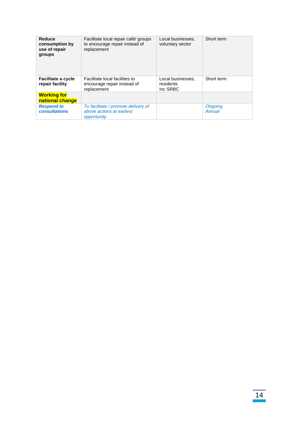| Reduce<br>consumption by<br>use of repair<br>groups | Facilitate local repair café/ groups<br>to encourage repair instead of<br>replacement | Local businesses.<br>voluntary sector      | Short term        |
|-----------------------------------------------------|---------------------------------------------------------------------------------------|--------------------------------------------|-------------------|
| <b>Facilitate a cycle</b><br>repair facility        | Facilitate local facilities to<br>encourage repair instead of<br>replacement          | Local businesses,<br>residents<br>Inc SRBC | Short term        |
| <b>Working for</b>                                  |                                                                                       |                                            |                   |
| national change                                     |                                                                                       |                                            |                   |
| <b>Respond to</b><br><b>consultations</b>           | To facilitate / promote delivery of<br>above actions at earliest<br>opportunity       |                                            | Ongoing<br>Annual |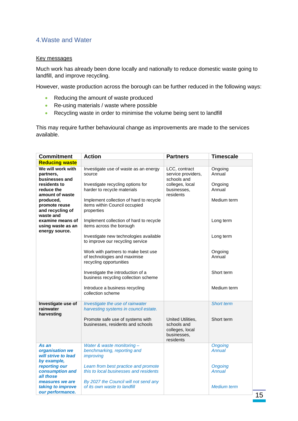## <span id="page-17-0"></span>4.Waste and Water

#### Key messages

Much work has already been done locally and nationally to reduce domestic waste going to landfill, and improve recycling.

However, waste production across the borough can be further reduced in the following ways:

- Reducing the amount of waste produced
- Re-using materials / waste where possible
- Recycling waste in order to minimise the volume being sent to landfill

This may require further behavioural change as improvements are made to the services available.

| <b>Commitment</b>                                           | <b>Action</b>                                                                                  | <b>Partners</b>                                                                 | <b>Timescale</b>         |
|-------------------------------------------------------------|------------------------------------------------------------------------------------------------|---------------------------------------------------------------------------------|--------------------------|
| <b>Reducing waste</b>                                       |                                                                                                |                                                                                 |                          |
| We will work with<br>partners,<br>businesses and            | Investigate use of waste as an energy<br>source                                                | LCC, contract<br>service providers,<br>schools and                              | Ongoing<br>Annual        |
| residents to<br>reduce the<br>amount of waste               | Investigate recycling options for<br>harder to recycle materials                               | colleges, local<br>businesses,<br>residents                                     | Ongoing<br>Annual        |
| produced,<br>promote reuse<br>and recycling of<br>waste and | Implement collection of hard to recycle<br>items within Council occupied<br>properties         |                                                                                 | Medium term              |
| examine means of<br>using waste as an<br>energy source.     | Implement collection of hard to recycle<br>items across the borough                            |                                                                                 | Long term                |
|                                                             | Investigate new technologies available<br>to improve our recycling service                     |                                                                                 | Long term                |
|                                                             | Work with partners to make best use<br>of technologies and maximise<br>recycling opportunities |                                                                                 | Ongoing<br>Annual        |
|                                                             | Investigate the introduction of a<br>business recycling collection scheme                      |                                                                                 | Short term               |
|                                                             | Introduce a business recycling<br>collection scheme                                            |                                                                                 | Medium term              |
| Investigate use of<br>rainwater<br>harvesting               | Investigate the use of rainwater<br>harvesting systems in council estate.                      |                                                                                 | <b>Short term</b>        |
|                                                             | Promote safe use of systems with<br>businesses, residents and schools                          | United Utilities,<br>schools and<br>colleges, local<br>businesses,<br>residents | Short term               |
| As an                                                       | Water & waste monitoring-                                                                      |                                                                                 | <b>Ongoing</b>           |
| organisation we<br>will strive to lead<br>by example,       | benchmarking, reporting and<br>improving                                                       |                                                                                 | Annual                   |
| reporting our<br>consumption and<br>all those               | Learn from best practice and promote<br>this to local businesses and residents                 |                                                                                 | <b>Ongoing</b><br>Annual |
| measures we are<br>taking to improve<br>our performance.    | By 2027 the Council will not send any<br>of its own waste to landfill                          |                                                                                 | <b>Medium</b> term       |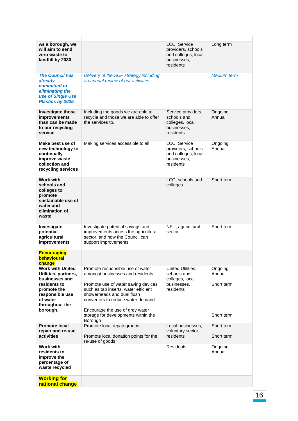| As a borough, we<br>will aim to send<br>zero waste to<br>landfill by 2030                                                                                     |                                                                                                                                                                                                                                                                                                   | LCC, Service<br>providers, schools<br>and colleges, local<br>businesses,<br>residents | Long term                                     |
|---------------------------------------------------------------------------------------------------------------------------------------------------------------|---------------------------------------------------------------------------------------------------------------------------------------------------------------------------------------------------------------------------------------------------------------------------------------------------|---------------------------------------------------------------------------------------|-----------------------------------------------|
| <b>The Council has</b><br>already<br>committed to<br>eliminating the<br>use of Single Use<br>Plastics by 2025.                                                | Delivery of the SUP strategy including<br>an annual review of our activities                                                                                                                                                                                                                      |                                                                                       | <b>Medium</b> term                            |
| <b>Investigate those</b><br>improvements<br>than can be made<br>to our recycling<br>service                                                                   | Including the goods we are able to<br>recycle and those we are able to offer<br>the services to.                                                                                                                                                                                                  | Service providers,<br>schools and<br>colleges, local<br>businesses,<br>residents      | Ongoing<br>Annual                             |
| Make best use of<br>new technology to<br>continually<br>improve waste<br>collection and<br>recycling services                                                 | Making services accessible to all                                                                                                                                                                                                                                                                 | LCC, Service<br>providers, schools<br>and colleges, local<br>businesses,<br>residents | Ongoing<br>Annual                             |
| <b>Work with</b><br>schools and<br>colleges to<br>promote<br>sustainable use of<br>water and<br>elimination of<br>waste                                       |                                                                                                                                                                                                                                                                                                   | LCC, schools and<br>colleges                                                          | Short term                                    |
| Investigate<br>potential<br>agricultural<br>improvements                                                                                                      | Investigate potential savings and<br>improvements across the agricultural<br>sector, and how the Council can<br>support improvements                                                                                                                                                              | NFU, agricultural<br>sector                                                           | Short term                                    |
| <b>Encouraging</b><br>behavioural<br>change                                                                                                                   |                                                                                                                                                                                                                                                                                                   |                                                                                       |                                               |
| <b>Work with United</b><br>Utilities, partners,<br>businesses and<br>residents to<br>promote the<br>responsible use<br>of water<br>throughout the<br>borough. | Promote responsible use of water<br>amongst businesses and residents.<br>Promote use of water saving devices<br>such as tap inserts, water efficient<br>showerheads and dual flush<br>converters to reduce water demand<br>Encourage the use of grey water<br>storage for developments within the | United Utilities,<br>schools and<br>colleges, local<br>businesses.<br>residents       | Ongoing<br>Annual<br>Short term<br>Short term |
| <b>Promote local</b><br>repair and re-use<br>activities                                                                                                       | Borough<br>Promote local repair groups<br>Promote local donation points for the<br>re-use of goods                                                                                                                                                                                                | Local businesses,<br>voluntary sector,<br>residents                                   | Short term<br>Short term                      |
| <b>Work with</b><br>residents to<br>improve the<br>percentage of<br>waste recycled                                                                            |                                                                                                                                                                                                                                                                                                   | <b>Residents</b>                                                                      | Ongoing<br>Annual                             |
| <b>Working for</b><br>national change                                                                                                                         |                                                                                                                                                                                                                                                                                                   |                                                                                       |                                               |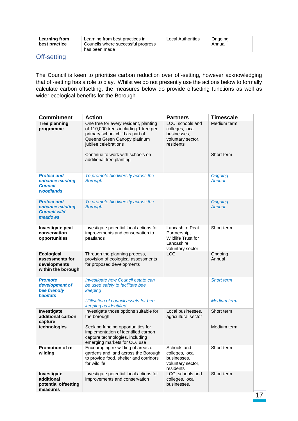## <span id="page-19-0"></span>Off-setting

The Council is keen to prioritise carbon reduction over off-setting, however acknowledging that off-setting has a role to play. Whilst we do not presently use the actions below to formally calculate carbon offsetting, the measures below do provide offsetting functions as well as wider ecological benefits for the Borough

| <b>Commitment</b>                                                            | <b>Action</b>                                                                                                                                                             | <b>Partners</b>                                                                                 | <b>Timescale</b>         |
|------------------------------------------------------------------------------|---------------------------------------------------------------------------------------------------------------------------------------------------------------------------|-------------------------------------------------------------------------------------------------|--------------------------|
| <b>Tree planning</b><br>programme                                            | One tree for every resident, planting<br>of 110,000 trees including 1 tree per<br>primary school child as part of<br>Queens Green Canopy platinum<br>jubilee celebrations | LCC, schools and<br>colleges, local<br>businesses,<br>voluntary sector,<br>residents            | Medium term              |
|                                                                              | Continue to work with schools on<br>additional tree planting                                                                                                              |                                                                                                 | Short term               |
| <b>Protect and</b><br>enhance existing<br><b>Council</b><br><b>woodlands</b> | To promote biodiversity across the<br><b>Borough</b>                                                                                                                      |                                                                                                 | <b>Ongoing</b><br>Annual |
| <b>Protect and</b><br>enhance existing<br><b>Council wild</b><br>meadows     | To promote biodiversity across the<br><b>Borough</b>                                                                                                                      |                                                                                                 | <b>Ongoing</b><br>Annual |
| Investigate peat<br>conservation<br>opportunities                            | Investigate potential local actions for<br>improvements and conservation to<br>peatlands                                                                                  | Lancashire Peat<br>Partnership,<br><b>Wildlife Trust for</b><br>Lancashire,<br>voluntary sector | Short term               |
| <b>Ecological</b><br>assessments for<br>developments<br>within the borough   | Through the planning process,<br>provision of ecological assessments<br>for proposed developments                                                                         | <b>LCC</b>                                                                                      | Ongoing<br>Annual        |
| <b>Promote</b><br>development of<br>bee friendly<br>habitats                 | Investigate how Council estate can<br>be used safely to facilitate bee<br>keeping                                                                                         |                                                                                                 | <b>Short term</b>        |
|                                                                              | Utilisation of council assets for bee<br>keeping as identified                                                                                                            |                                                                                                 | <b>Medium</b> term       |
| Investigate<br>additional carbon<br>capture                                  | Investigate those options suitable for<br>the borough                                                                                                                     | Local businesses,<br>agricultural sector                                                        | Short term               |
| technologies                                                                 | Seeking funding opportunities for<br>implementation of identified carbon<br>capture technologies, including<br>emerging markets for CO <sub>2</sub> use                   |                                                                                                 | Medium term              |
| Promotion of re-<br>wilding                                                  | Encouraging re-wilding of areas of<br>gardens and land across the Borough<br>to provide food, shelter and corridors<br>for wildlife                                       | Schools and<br>colleges, local<br>businesses,<br>voluntary sector,<br>residents                 | Short term               |
| Investigate<br>additional<br>potential offsetting<br>measures                | Investigate potential local actions for<br>improvements and conservation                                                                                                  | LCC, schools and<br>colleges, local<br>businesses,                                              | Short term               |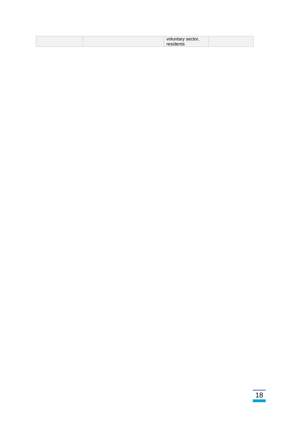| $ -$<br>ески |  |
|--------------|--|
|--------------|--|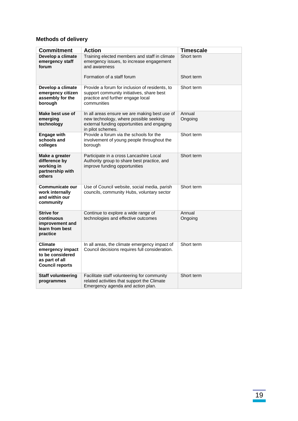## **Methods of delivery**

| <b>Commitment</b>                                                                                  | <b>Action</b>                                                                                                                                               | <b>Timescale</b>  |
|----------------------------------------------------------------------------------------------------|-------------------------------------------------------------------------------------------------------------------------------------------------------------|-------------------|
| Develop a climate                                                                                  |                                                                                                                                                             | Short term        |
| emergency staff<br>forum                                                                           | Training elected members and staff in climate<br>emergency issues, to increase engagement<br>and awareness                                                  |                   |
|                                                                                                    | Formation of a staff forum                                                                                                                                  | Short term        |
| Develop a climate<br>emergency citizen<br>assembly for the<br>borough                              | Provide a forum for inclusion of residents, to<br>support community initiatives, share best<br>practice and further engage local<br>communities             | Short term        |
| Make best use of<br>emerging<br>technology                                                         | In all areas ensure we are making best use of<br>new technology, where possible seeking<br>external funding opportunities and engaging<br>in pilot schemes. | Annual<br>Ongoing |
| <b>Engage with</b><br>schools and<br>colleges                                                      | Provide a forum via the schools for the<br>involvement of young people throughout the<br>borough                                                            | Short term        |
| Make a greater<br>difference by<br>working in<br>partnership with<br>others                        | Participate in a cross Lancashire Local<br>Authority group to share best practice, and<br>improve funding opportunities                                     | Short term        |
| Communicate our<br>work internally<br>and within our<br>community                                  | Use of Council website, social media, parish<br>councils, community Hubs, voluntary sector                                                                  | Short term        |
| <b>Strive for</b><br>continuous<br>improvement and<br>learn from best<br>practice                  | Continue to explore a wide range of<br>technologies and effective outcomes                                                                                  | Annual<br>Ongoing |
| <b>Climate</b><br>emergency impact<br>to be considered<br>as part of all<br><b>Council reports</b> | In all areas, the climate emergency impact of<br>Council decisions requires full consideration.                                                             | Short term        |
| <b>Staff volunteering</b><br>programmes                                                            | Facilitate staff volunteering for community<br>related activities that support the Climate<br>Emergency agenda and action plan.                             | Short term        |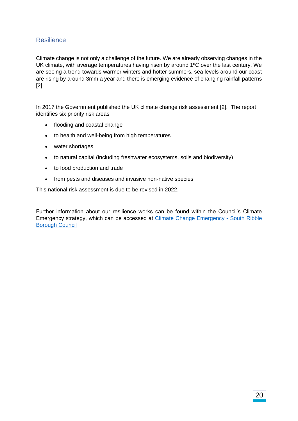## <span id="page-22-0"></span>Resilience

Climate change is not only a challenge of the future. We are already observing changes in the UK climate, with average temperatures having risen by around 1ºC over the last century. We are seeing a trend towards warmer winters and hotter summers, sea levels around our coast are rising by around 3mm a year and there is emerging evidence of changing rainfall patterns [2].

In 2017 the Government published the UK climate change risk assessment [2]. The report identifies six priority risk areas

- flooding and coastal change
- to health and well-being from high temperatures
- water shortages
- to natural capital (including freshwater ecosystems, soils and biodiversity)
- to food production and trade
- from pests and diseases and invasive non-native species

This national risk assessment is due to be revised in 2022.

Further information about our resilience works can be found within the Council's Climate Emergency strategy, which can be accessed at [Climate Change Emergency -](https://www.southribble.gov.uk/article/1254/Climate-Change-Emergency) South Ribble [Borough Council](https://www.southribble.gov.uk/article/1254/Climate-Change-Emergency)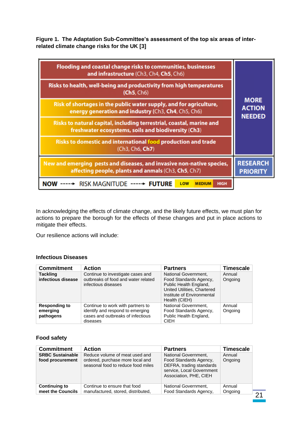**Figure 1. The Adaptation Sub-Committee's assessment of the top six areas of interrelated climate change risks for the UK [3]**

| Flooding and coastal change risks to communities, businesses<br>and infrastructure (Ch3, Ch4, Ch5, Ch6)                      |                                               |
|------------------------------------------------------------------------------------------------------------------------------|-----------------------------------------------|
| Risks to health, well-being and productivity from high temperatures<br>(Ch5, Ch6)                                            | <b>MORE</b><br><b>ACTION</b><br><b>NEEDED</b> |
| Risk of shortages in the public water supply, and for agriculture,<br>energy generation and industry (Ch3, Ch4, Ch5, Ch6)    |                                               |
| Risks to natural capital, including terrestrial, coastal, marine and<br>freshwater ecosystems, soils and biodiversity (Ch3)  |                                               |
| Risks to domestic and international food production and trade<br>(Ch3, Ch6, Ch7)                                             |                                               |
| New and emerging pests and diseases, and invasive non-native species,<br>affecting people, plants and anmals (Ch3, Ch5, Ch7) | <b>RESEARCH</b><br><b>PRIORITY</b>            |
| RISK MAGNITUDE ----- FUTURE<br>LOW<br><b>HIGH</b><br><b>MEDIUM</b><br>NOI                                                    |                                               |

In acknowledging the effects of climate change, and the likely future effects, we must plan for actions to prepare the borough for the effects of these changes and put in place actions to mitigate their effects.

Our resilience actions will include:

#### **Infectious Diseases**

| <b>Commitment</b>                             | Action                                                                                                                 | <b>Partners</b>                                                                                                                                        | <b>Timescale</b>  |
|-----------------------------------------------|------------------------------------------------------------------------------------------------------------------------|--------------------------------------------------------------------------------------------------------------------------------------------------------|-------------------|
| <b>Tackling</b><br>infectious disease         | Continue to investigate cases and<br>outbreaks of food and water related<br>infectious diseases                        | National Government,<br>Food Standards Agency,<br>Public Health England,<br>United Utilities, Chartered<br>Institute of Environmental<br>Health (CIEH) | Annual<br>Ongoing |
| <b>Responding to</b><br>emerging<br>pathogens | Continue to work with partners to<br>identify and respond to emerging<br>cases and outbreaks of infectious<br>diseases | National Government,<br>Food Standards Agency,<br>Public Health England,<br><b>CIEH</b>                                                                | Annual<br>Ongoing |

### **Food safety**

| <b>Commitment</b>                           | <b>Action</b>                                                                                            | <b>Partners</b>                                                                                                                   | <b>Timescale</b>  |
|---------------------------------------------|----------------------------------------------------------------------------------------------------------|-----------------------------------------------------------------------------------------------------------------------------------|-------------------|
| <b>SRBC Sustainable</b><br>food procurement | Reduce volume of meat used and<br>ordered, purchase more local and<br>seasonal food to reduce food miles | National Government,<br>Food Standards Agency,<br>DEFRA, trading standards<br>service, Local Government<br>Association, PHE, CIEH | Annual<br>Ongoing |
| <b>Continuing to</b>                        | Continue to ensure that food                                                                             | National Government,                                                                                                              | Annual            |
| meet the Councils                           | manufactured, stored, distributed,                                                                       | Food Standards Agency,                                                                                                            | Ongoing           |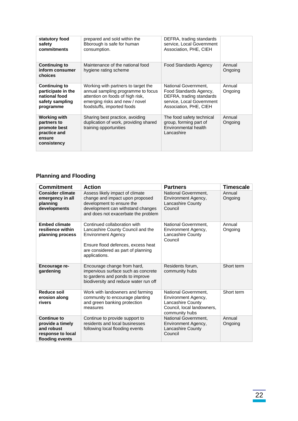| statutory food<br>safety<br>commitments                                                     | prepared and sold within the<br>Bborough is safe for human<br>consumption.                                                                                                    | DEFRA, trading standards<br>service, Local Government<br>Association, PHE, CIEH                                                   |                   |
|---------------------------------------------------------------------------------------------|-------------------------------------------------------------------------------------------------------------------------------------------------------------------------------|-----------------------------------------------------------------------------------------------------------------------------------|-------------------|
| <b>Continuing to</b><br>inform consumer<br>choices                                          | Maintenance of the national food<br>hygiene rating scheme                                                                                                                     | <b>Food Standards Agency</b>                                                                                                      | Annual<br>Ongoing |
| <b>Continuing to</b><br>participate in the<br>national food<br>safety sampling<br>programme | Working with partners to target the<br>annual sampling programme to focus<br>attention on foods of high risk,<br>emerging risks and new / novel<br>foodstuffs, imported foods | National Government,<br>Food Standards Agency,<br>DEFRA, trading standards<br>service, Local Government<br>Association, PHE, CIEH | Annual<br>Ongoing |
| <b>Working with</b><br>partners to<br>promote best<br>practice and<br>ensure<br>consistency | Sharing best practice, avoiding<br>duplication of work, providing shared<br>training opportunities                                                                            | The food safety technical<br>group, forming part of<br>Environmental health<br>Lancashire                                         | Annual<br>Ongoing |

# **Planning and Flooding**

| <b>Commitment</b>                                                                     | <b>Action</b>                                                                                                                                                                               | <b>Partners</b>                                                                                                  | Timescale         |
|---------------------------------------------------------------------------------------|---------------------------------------------------------------------------------------------------------------------------------------------------------------------------------------------|------------------------------------------------------------------------------------------------------------------|-------------------|
| <b>Consider climate</b><br>emergency in all<br>planning<br>developments               | Assess likely impact of climate<br>change and impact upon proposed<br>development to ensure the<br>development can withstand changes<br>and does not exacerbate the problem                 | National Government.<br>Environment Agency,<br><b>Lancashire County</b><br>Council                               | Annual<br>Ongoing |
| <b>Embed climate</b><br>resilience within<br>planning process                         | Continued collaboration with<br>Lancashire County Council and the<br><b>Environment Agency</b><br>Ensure flood defences, excess heat<br>are considered as part of planning<br>applications. | National Government.<br>Environment Agency,<br>Lancashire County<br>Council                                      | Annual<br>Ongoing |
| Encourage re-<br>qardening                                                            | Encourage change from hard,<br>impervious surface such as concrete<br>to gardens and ponds to improve<br>biodiversity and reduce water run off                                              | Residents forum,<br>community hubs                                                                               | Short term        |
| <b>Reduce soil</b><br>erosion along<br>rivers                                         | Work with landowners and farming<br>community to encourage planting<br>and green banking protection<br>measures                                                                             | National Government.<br>Environment Agency,<br>Lancashire County<br>Council, local landowners,<br>community hubs | Short term        |
| Continue to<br>provide a timely<br>and robust<br>response to local<br>flooding events | Continue to provide support to<br>residents and local businesses<br>following local flooding events                                                                                         | National Government,<br>Environment Agency,<br>Lancashire County<br>Council                                      | Annual<br>Ongoing |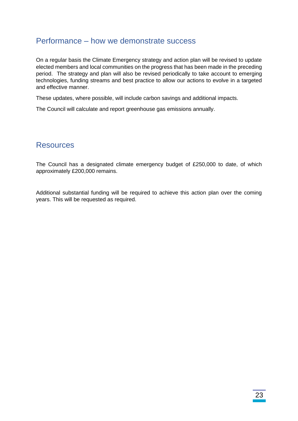## <span id="page-25-0"></span>Performance – how we demonstrate success

On a regular basis the Climate Emergency strategy and action plan will be revised to update elected members and local communities on the progress that has been made in the preceding period. The strategy and plan will also be revised periodically to take account to emerging technologies, funding streams and best practice to allow our actions to evolve in a targeted and effective manner.

These updates, where possible, will include carbon savings and additional impacts.

The Council will calculate and report greenhouse gas emissions annually.

## <span id="page-25-1"></span>Resources

The Council has a designated climate emergency budget of £250,000 to date, of which approximately £200,000 remains.

Additional substantial funding will be required to achieve this action plan over the coming years. This will be requested as required.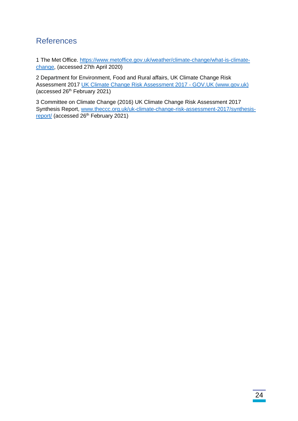# <span id="page-26-0"></span>References

1 The Met Office. [https://www.metoffice.gov.uk/weather/climate-change/what-is-climate](https://www.metoffice.gov.uk/weather/climate-change/what-is-climate-change)[change,](https://www.metoffice.gov.uk/weather/climate-change/what-is-climate-change) (accessed 27th April 2020)

2 Department for Environment, Food and Rural affairs, UK Climate Change Risk Assessment 2017 [UK Climate Change Risk Assessment 2017 -](https://www.gov.uk/government/publications/uk-climate-change-risk-assessment-2017) GOV.UK (www.gov.uk) (accessed 26th February 2021)

3 Committee on Climate Change (2016) UK Climate Change Risk Assessment 2017 Synthesis Report, [www.theccc.org.uk/uk-climate-change-risk-assessment-2017/synthesis](http://www.theccc.org.uk/uk-climate-change-risk-assessment-2017/synthesis-report/)[report/](http://www.theccc.org.uk/uk-climate-change-risk-assessment-2017/synthesis-report/) (accessed 26<sup>th</sup> February 2021)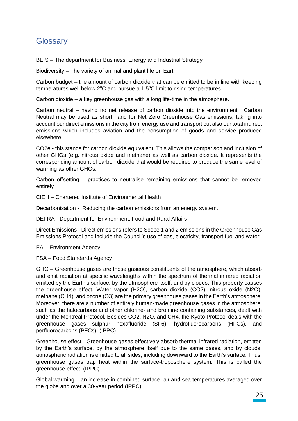# <span id="page-27-0"></span>**Glossary**

BEIS – The department for Business, Energy and Industrial Strategy

Biodiversity – The variety of animal and plant life on Earth

Carbon budget – the amount of carbon dioxide that can be emitted to be in line with keeping temperatures well below  $2^{\circ}$ C and pursue a 1.5 $^{\circ}$ C limit to rising temperatures

Carbon dioxide – a key greenhouse gas with a long life-time in the atmosphere.

Carbon neutral – having no net release of carbon dioxide into the environment. Carbon Neutral may be used as short hand for Net Zero Greenhouse Gas emissions, taking into account our direct emissions in the city from energy use and transport but also our total indirect emissions which includes aviation and the consumption of goods and service produced elsewhere.

CO2e - this stands for carbon dioxide equivalent. This allows the comparison and inclusion of other GHGs (e.g. nitrous oxide and methane) as well as carbon dioxide. It represents the corresponding amount of carbon dioxide that would be required to produce the same level of warming as other GHGs.

Carbon offsetting – practices to neutralise remaining emissions that cannot be removed entirely

CIEH – Chartered Institute of Environmental Health

Decarbonisation - Reducing the carbon emissions from an energy system.

DEFRA - Department for Environment, Food and Rural Affairs

Direct Emissions - Direct emissions refers to Scope 1 and 2 emissions in the Greenhouse Gas Emissions Protocol and include the Council's use of gas, electricity, transport fuel and water.

EA – Environment Agency

FSA – Food Standards Agency

GHG – Greenhouse gases are those gaseous constituents of the atmosphere, which absorb and emit radiation at specific wavelengths within the spectrum of thermal infrared radiation emitted by the Earth's surface, by the atmosphere itself, and by clouds. This property causes the greenhouse effect. Water vapor (H2O), carbon dioxide (CO2), nitrous oxide (N2O), methane (CH4), and ozone (O3) are the primary greenhouse gases in the Earth's atmosphere. Moreover, there are a number of entirely human-made greenhouse gases in the atmosphere, such as the halocarbons and other chlorine- and bromine containing substances, dealt with under the Montreal Protocol. Besides CO2, N2O, and CH4, the Kyoto Protocol deals with the greenhouse gases sulphur hexafluoride (SF6), hydrofluorocarbons (HFCs), and perfluorocarbons (PFCs). (IPPC)

Greenhouse effect - Greenhouse gases effectively absorb thermal infrared radiation, emitted by the Earth's surface, by the atmosphere itself due to the same gases, and by clouds. atmospheric radiation is emitted to all sides, including downward to the Earth's surface. Thus, greenhouse gases trap heat within the surface-troposphere system. This is called the greenhouse effect. (IPPC)

Global warming – an increase in combined surface, air and sea temperatures averaged over the globe and over a 30-year period (IPPC)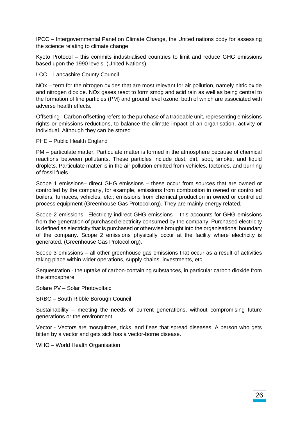IPCC – Intergovernmental Panel on Climate Change, the United nations body for assessing the science relating to climate change

Kyoto Protocol – this commits industrialised countries to limit and reduce GHG emissions based upon the 1990 levels. (United Nations)

#### LCC – Lancashire County Council

NOx – term for the nitrogen oxides that are most relevant for air pollution, namely nitric oxide and nitrogen dioxide. NOx gases react to form smog and acid rain as well as being central to the formation of fine particles (PM) and ground level ozone, both of which are associated with adverse health effects.

Offsetting - Carbon offsetting refers to the purchase of a tradeable unit, representing emissions rights or emissions reductions, to balance the climate impact of an organisation, activity or individual. Although they can be stored

#### PHE – Public Health England

PM – particulate matter. Particulate matter is formed in the atmosphere because of chemical reactions between pollutants. These particles include dust, dirt, soot, smoke, and liquid droplets. Particulate matter is in the air pollution emitted from vehicles, factories, and burning of fossil fuels

Scope 1 emissions– direct GHG emissions – these occur from sources that are owned or controlled by the company, for example, emissions from combustion in owned or controlled boilers, furnaces, vehicles, etc.; emissions from chemical production in owned or controlled process equipment (Greenhouse Gas Protocol.org). They are mainly energy related.

Scope 2 emissions– Electricity indirect GHG emissions – this accounts for GHG emissions from the generation of purchased electricity consumed by the company. Purchased electricity is defined as electricity that is purchased or otherwise brought into the organisational boundary of the company. Scope 2 emissions physically occur at the facility where electricity is generated. (Greenhouse Gas Protocol.org).

Scope 3 emissions – all other greenhouse gas emissions that occur as a result of activities taking place within wider operations, supply chains, investments, etc.

Sequestration - the uptake of carbon-containing substances, in particular carbon dioxide from the atmosphere.

Solare PV – Solar Photovoltaic

SRBC – South Ribble Borough Council

Sustainability – meeting the needs of current generations, without compromising future generations or the environment

Vector - Vectors are mosquitoes, ticks, and fleas that spread diseases. A person who gets bitten by a vector and gets sick has a vector-borne disease.

WHO – World Health Organisation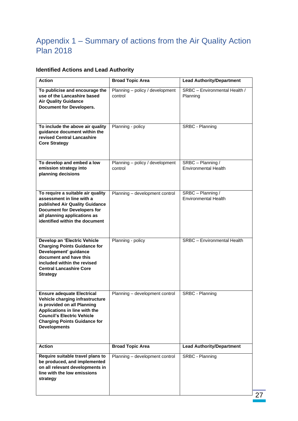# <span id="page-29-0"></span>Appendix 1 – Summary of actions from the Air Quality Action Plan 2018

# **Identified Actions and Lead Authority**

| <b>Action</b>                                                                                                                                                                                                                           | <b>Broad Topic Area</b>                    | <b>Lead Authority/Department</b>                 |
|-----------------------------------------------------------------------------------------------------------------------------------------------------------------------------------------------------------------------------------------|--------------------------------------------|--------------------------------------------------|
| To publicise and encourage the<br>use of the Lancashire based<br><b>Air Quality Guidance</b><br><b>Document for Developers.</b>                                                                                                         | Planning - policy / development<br>control | SRBC - Environmental Health /<br>Planning        |
| To include the above air quality<br>guidance document within the<br>revised Central Lancashire<br><b>Core Strategy</b>                                                                                                                  | Planning - policy                          | SRBC - Planning                                  |
| To develop and embed a low<br>emission strategy into<br>planning decisions                                                                                                                                                              | Planning - policy / development<br>control | SRBC - Planning /<br><b>Environmental Health</b> |
| To require a suitable air quality<br>assessment in line with a<br>published Air Quality Guidance<br><b>Document for Developers for</b><br>all planning applications as<br>identified within the document                                | Planning - development control             | SRBC - Planning /<br><b>Environmental Health</b> |
| Develop an 'Electric Vehicle<br><b>Charging Points Guidance for</b><br>Development' guidance<br>document and have this<br>included within the revised<br><b>Central Lancashire Core</b><br><b>Strategy</b>                              | Planning - policy                          | <b>SRBC</b> - Environmental Health               |
| <b>Ensure adequate Electrical</b><br>Vehicle charging infrastructure<br>is provided on all Planning<br>Applications in line with the<br><b>Council's Electric Vehicle</b><br><b>Charging Points Guidance for</b><br><b>Developments</b> | Planning - development control             | SRBC - Planning                                  |
| <b>Action</b>                                                                                                                                                                                                                           | <b>Broad Topic Area</b>                    | <b>Lead Authority/Department</b>                 |
| Require suitable travel plans to<br>be produced, and implemented<br>on all relevant developments in<br>line with the low emissions<br>strategy                                                                                          | Planning - development control             | SRBC - Planning                                  |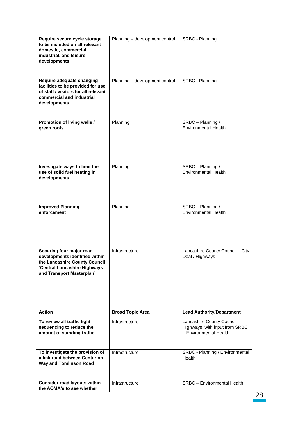| Require secure cycle storage<br>to be included on all relevant<br>domestic, commercial,<br>industrial, and leisure<br>developments                       | Planning - development control | SRBC - Planning                                                                         |
|----------------------------------------------------------------------------------------------------------------------------------------------------------|--------------------------------|-----------------------------------------------------------------------------------------|
| Require adequate changing<br>facilities to be provided for use<br>of staff / visitors for all relevant<br>commercial and industrial<br>developments      | Planning - development control | SRBC - Planning                                                                         |
| Promotion of living walls /<br>green roofs                                                                                                               | Planning                       | SRBC - Planning /<br><b>Environmental Health</b>                                        |
| Investigate ways to limit the<br>use of solid fuel heating in<br>developments                                                                            | Planning                       | SRBC - Planning /<br><b>Environmental Health</b>                                        |
| <b>Improved Planning</b><br>enforcement                                                                                                                  | Planning                       | SRBC - Planning /<br><b>Environmental Health</b>                                        |
| Securing four major road<br>developments identified within<br>the Lancashire County Council<br>'Central Lancashire Highways<br>and Transport Masterplan' | Infrastructure                 | Lancashire County Council - City<br>Deal / Highways                                     |
| <b>Action</b>                                                                                                                                            | <b>Broad Topic Area</b>        | <b>Lead Authority/Department</b>                                                        |
| To review all traffic light<br>sequencing to reduce the<br>amount of standing traffic                                                                    | Infrastructure                 | Lancashire County Council -<br>Highways, with input from SRBC<br>- Environmental Health |
| To investigate the provision of<br>a link road between Centurion<br><b>Way and Tomlinson Road</b>                                                        | Infrastructure                 | SRBC - Planning / Environmental<br>Health                                               |
| <b>Consider road layouts within</b><br>the AQMA's to see whether                                                                                         | Infrastructure                 | <b>SRBC</b> - Environmental Health                                                      |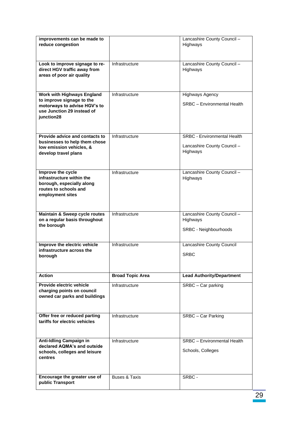| improvements can be made to<br>reduce congestion                                                                         |                         | Lancashire County Council -<br>Highways                 |
|--------------------------------------------------------------------------------------------------------------------------|-------------------------|---------------------------------------------------------|
|                                                                                                                          |                         |                                                         |
| Look to improve signage to re-<br>direct HGV traffic away from<br>areas of poor air quality                              | Infrastructure          | Lancashire County Council -<br>Highways                 |
| Work with Highways England                                                                                               | Infrastructure          | <b>Highways Agency</b>                                  |
| to improve signage to the<br>motorways to advise HGV's to<br>use Junction 29 instead of<br>junction28                    |                         | SRBC - Environmental Health                             |
| Provide advice and contacts to<br>businesses to help them chose                                                          | Infrastructure          | <b>SRBC - Environmental Health</b>                      |
| low emission vehicles, &<br>develop travel plans                                                                         |                         | Lancashire County Council -<br>Highways                 |
| Improve the cycle<br>infrastructure within the<br>borough, especially along<br>routes to schools and<br>employment sites | Infrastructure          | Lancashire County Council -<br>Highways                 |
|                                                                                                                          |                         |                                                         |
| Maintain & Sweep cycle routes                                                                                            | Infrastructure          | Lancashire County Council -                             |
| on a regular basis throughout<br>the borough                                                                             |                         | Highways<br>SRBC - Neighbourhoods                       |
| Improve the electric vehicle                                                                                             | Infrastructure          | Lancashire County Council                               |
| infrastructure across the<br>borough                                                                                     |                         | <b>SRBC</b>                                             |
|                                                                                                                          |                         |                                                         |
| <b>Action</b>                                                                                                            | <b>Broad Topic Area</b> | <b>Lead Authority/Department</b>                        |
| Provide electric vehicle<br>charging points on council<br>owned car parks and buildings                                  | Infrastructure          | SRBC - Car parking                                      |
| Offer free or reduced parting<br>tariffs for electric vehicles                                                           | Infrastructure          | SRBC - Car Parking                                      |
| <b>Anti-Idling Campaign in</b><br>declared AQMA's and outside<br>schools, colleges and leisure<br>centres                | Infrastructure          | <b>SRBC</b> - Environmental Health<br>Schools, Colleges |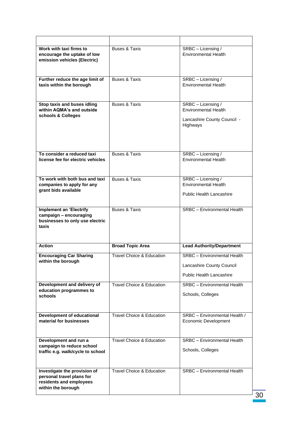| Work with taxi firms to<br>encourage the uptake of low<br>emission vehicles (Electric)                     | <b>Buses &amp; Taxis</b>             | SRBC - Licensing /<br><b>Environmental Health</b>                                                  |
|------------------------------------------------------------------------------------------------------------|--------------------------------------|----------------------------------------------------------------------------------------------------|
| Further reduce the age limit of<br>taxis within the borough                                                | <b>Buses &amp; Taxis</b>             | SRBC - Licensing /<br><b>Environmental Health</b>                                                  |
| Stop taxis and buses idling<br>within AQMA's and outside<br>schools & Colleges                             | <b>Buses &amp; Taxis</b>             | SRBC - Licensing /<br>Environmental Health<br>Lancashire County Council -<br>Highways              |
| To consider a reduced taxi<br>license fee for electric vehicles                                            | <b>Buses &amp; Taxis</b>             | SRBC - Licensing /<br><b>Environmental Health</b>                                                  |
| To work with both bus and taxi<br>companies to apply for any<br>grant bids available                       | <b>Buses &amp; Taxis</b>             | SRBC - Licensing /<br><b>Environmental Health</b><br><b>Public Health Lancashire</b>               |
| <b>Implement an 'Electrify</b><br>campaign - encouraging<br>businesses to only use electric<br>taxis       | <b>Buses &amp; Taxis</b>             | <b>SRBC</b> - Environmental Health                                                                 |
| <b>Action</b>                                                                                              | <b>Broad Topic Area</b>              | <b>Lead Authority/Department</b>                                                                   |
| <b>Encouraging Car Sharing</b><br>within the borough                                                       | <b>Travel Choice &amp; Education</b> | <b>SRBC</b> - Environmental Health<br>Lancashire County Council<br><b>Public Health Lancashire</b> |
| Development and delivery of<br>education programmes to<br>schools                                          | <b>Travel Choice &amp; Education</b> | <b>SRBC</b> - Environmental Health<br>Schools, Colleges                                            |
| <b>Development of educational</b><br>material for businesses                                               | <b>Travel Choice &amp; Education</b> | SRBC - Environmental Health /<br>Economic Development                                              |
| Development and run a<br>campaign to reduce school<br>traffic e.g. walk/cycle to school                    | Travel Choice & Education            | <b>SRBC</b> - Environmental Health<br>Schools, Colleges                                            |
| Investigate the provision of<br>personal travel plans for<br>residents and employees<br>within the borough | Travel Choice & Education            | <b>SRBC</b> - Environmental Health                                                                 |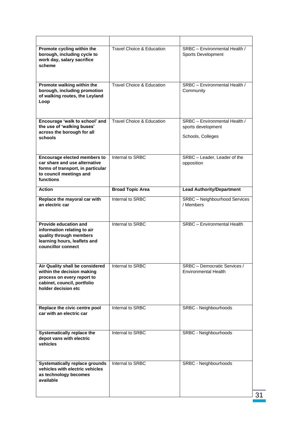| Promote cycling within the<br>borough, including cycle to<br>work day, salary sacrifice<br>scheme                                                 | Travel Choice & Education            | SRBC - Environmental Health /<br>Sports Development                      |
|---------------------------------------------------------------------------------------------------------------------------------------------------|--------------------------------------|--------------------------------------------------------------------------|
| Promote walking within the<br>borough, including promotion<br>of walking routes, the Leyland<br>Loop                                              | Travel Choice & Education            | SRBC - Environmental Health /<br>Community                               |
| Encourage 'walk to school' and<br>the use of 'walking buses'<br>across the borough for all<br>schools                                             | <b>Travel Choice &amp; Education</b> | SRBC - Environmental Health /<br>sports development<br>Schools, Colleges |
| <b>Encourage elected members to</b><br>car share and use alternative<br>forms of transport, in particular<br>to council meetings and<br>functions | Internal to SRBC                     | SRBC - Leader, Leader of the<br>opposition                               |
| <b>Action</b>                                                                                                                                     | <b>Broad Topic Area</b>              | <b>Lead Authority/Department</b>                                         |
| Replace the mayoral car with<br>an electric car                                                                                                   | Internal to SRBC                     | <b>SRBC</b> - Neighbourhood Services<br>/ Members                        |
| <b>Provide education and</b><br>information relating to air<br>quality through members                                                            | Internal to SRBC                     | <b>SRBC</b> - Environmental Health                                       |
| learning hours, leaflets and<br>councillor connect                                                                                                |                                      |                                                                          |
| Air Quality shall be considered<br>within the decision making<br>process on every report to<br>cabinet, council, portfolio<br>holder decision etc | Internal to SRBC                     | SRBC - Democratic Services /<br><b>Environmental Health</b>              |
| Replace the civic centre pool<br>car with an electric car                                                                                         | Internal to SRBC                     | SRBC - Neighbourhoods                                                    |
| Systematically replace the<br>depot vans with electric<br>vehicles                                                                                | Internal to SRBC                     | SRBC - Neighbourhoods                                                    |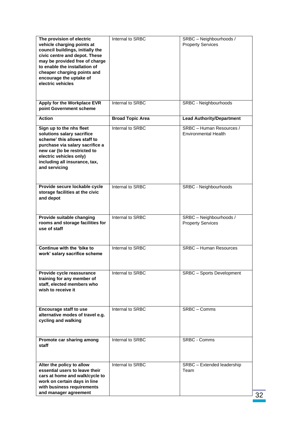| The provision of electric<br>vehicle charging points at<br>council buildings, initially the<br>civic centre and depot. These<br>may be provided free of charge<br>to enable the installation of<br>cheaper charging points and<br>encourage the uptake of<br>electric vehicles | Internal to SRBC        | SRBC - Neighbourhoods /<br><b>Property Services</b>     |
|--------------------------------------------------------------------------------------------------------------------------------------------------------------------------------------------------------------------------------------------------------------------------------|-------------------------|---------------------------------------------------------|
| Apply for the Workplace EVR<br>point Government scheme                                                                                                                                                                                                                         | Internal to SRBC        | SRBC - Neighbourhoods                                   |
| <b>Action</b>                                                                                                                                                                                                                                                                  | <b>Broad Topic Area</b> | <b>Lead Authority/Department</b>                        |
| Sign up to the nhs fleet<br>solutions salary sacrifice<br>scheme' this allows staff to<br>purchase via salary sacrifice a<br>new car (to be restricted to<br>electric vehicles only)<br>including all insurance, tax,<br>and servicing                                         | Internal to SRBC        | SRBC - Human Resources /<br><b>Environmental Health</b> |
| Provide secure lockable cycle<br>storage facilities at the civic<br>and depot                                                                                                                                                                                                  | Internal to SRBC        | SRBC - Neighbourhoods                                   |
| Provide suitable changing<br>rooms and storage facilities for<br>use of staff                                                                                                                                                                                                  | Internal to SRBC        | SRBC - Neighbourhoods /<br><b>Property Services</b>     |
| Continue with the 'bike to<br>work' salary sacrifice scheme                                                                                                                                                                                                                    | Internal to SRBC        | <b>SRBC</b> - Human Resources                           |
| Provide cycle reassurance<br>training for any member of<br>staff, elected members who<br>wish to receive it                                                                                                                                                                    | Internal to SRBC        | <b>SRBC</b> - Sports Development                        |
| <b>Encourage staff to use</b><br>alternative modes of travel e.g.<br>cycling and walking                                                                                                                                                                                       | Internal to SRBC        | SRBC - Comms                                            |
| Promote car sharing among<br>staff                                                                                                                                                                                                                                             | Internal to SRBC        | <b>SRBC - Comms</b>                                     |
| Alter the policy to allow<br>essential users to leave their<br>cars at home and walk/cycle to<br>work on certain days in line<br>with business requirements<br>and manager agreement                                                                                           | Internal to SRBC        | SRBC - Extended leadership<br>Team                      |